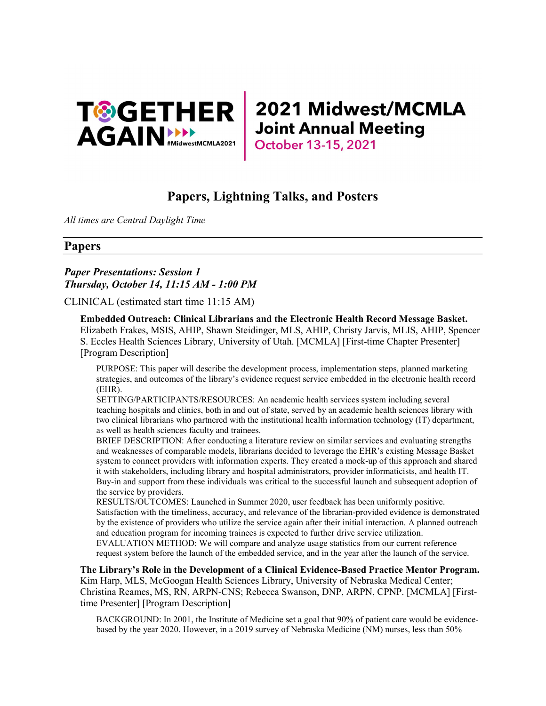

# Papers, Lightning Talks, and Posters

All times are Central Daylight Time

# Papers

# Paper Presentations: Session 1 Thursday, October 14, 11:15 AM - 1:00 PM

CLINICAL (estimated start time 11:15 AM)

Embedded Outreach: Clinical Librarians and the Electronic Health Record Message Basket. Elizabeth Frakes, MSIS, AHIP, Shawn Steidinger, MLS, AHIP, Christy Jarvis, MLIS, AHIP, Spencer S. Eccles Health Sciences Library, University of Utah. [MCMLA] [First-time Chapter Presenter] [Program Description]

PURPOSE: This paper will describe the development process, implementation steps, planned marketing strategies, and outcomes of the library's evidence request service embedded in the electronic health record (EHR).

SETTING/PARTICIPANTS/RESOURCES: An academic health services system including several teaching hospitals and clinics, both in and out of state, served by an academic health sciences library with two clinical librarians who partnered with the institutional health information technology (IT) department, as well as health sciences faculty and trainees.

BRIEF DESCRIPTION: After conducting a literature review on similar services and evaluating strengths and weaknesses of comparable models, librarians decided to leverage the EHR's existing Message Basket system to connect providers with information experts. They created a mock-up of this approach and shared it with stakeholders, including library and hospital administrators, provider informaticists, and health IT. Buy-in and support from these individuals was critical to the successful launch and subsequent adoption of the service by providers.

RESULTS/OUTCOMES: Launched in Summer 2020, user feedback has been uniformly positive. Satisfaction with the timeliness, accuracy, and relevance of the librarian-provided evidence is demonstrated by the existence of providers who utilize the service again after their initial interaction. A planned outreach and education program for incoming trainees is expected to further drive service utilization.

EVALUATION METHOD: We will compare and analyze usage statistics from our current reference request system before the launch of the embedded service, and in the year after the launch of the service.

The Library's Role in the Development of a Clinical Evidence-Based Practice Mentor Program. Kim Harp, MLS, McGoogan Health Sciences Library, University of Nebraska Medical Center; Christina Reames, MS, RN, ARPN-CNS; Rebecca Swanson, DNP, ARPN, CPNP. [MCMLA] [Firsttime Presenter] [Program Description]

BACKGROUND: In 2001, the Institute of Medicine set a goal that 90% of patient care would be evidencebased by the year 2020. However, in a 2019 survey of Nebraska Medicine (NM) nurses, less than 50%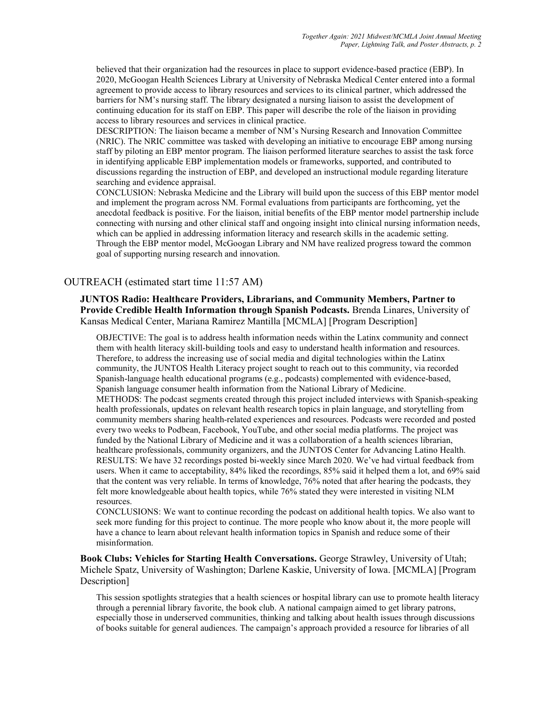believed that their organization had the resources in place to support evidence-based practice (EBP). In 2020, McGoogan Health Sciences Library at University of Nebraska Medical Center entered into a formal agreement to provide access to library resources and services to its clinical partner, which addressed the barriers for NM's nursing staff. The library designated a nursing liaison to assist the development of continuing education for its staff on EBP. This paper will describe the role of the liaison in providing access to library resources and services in clinical practice.

DESCRIPTION: The liaison became a member of NM's Nursing Research and Innovation Committee (NRIC). The NRIC committee was tasked with developing an initiative to encourage EBP among nursing staff by piloting an EBP mentor program. The liaison performed literature searches to assist the task force in identifying applicable EBP implementation models or frameworks, supported, and contributed to discussions regarding the instruction of EBP, and developed an instructional module regarding literature searching and evidence appraisal.

CONCLUSION: Nebraska Medicine and the Library will build upon the success of this EBP mentor model and implement the program across NM. Formal evaluations from participants are forthcoming, yet the anecdotal feedback is positive. For the liaison, initial benefits of the EBP mentor model partnership include connecting with nursing and other clinical staff and ongoing insight into clinical nursing information needs, which can be applied in addressing information literacy and research skills in the academic setting. Through the EBP mentor model, McGoogan Library and NM have realized progress toward the common goal of supporting nursing research and innovation.

# OUTREACH (estimated start time 11:57 AM)

JUNTOS Radio: Healthcare Providers, Librarians, and Community Members, Partner to Provide Credible Health Information through Spanish Podcasts. Brenda Linares, University of Kansas Medical Center, Mariana Ramirez Mantilla [MCMLA] [Program Description]

OBJECTIVE: The goal is to address health information needs within the Latinx community and connect them with health literacy skill-building tools and easy to understand health information and resources. Therefore, to address the increasing use of social media and digital technologies within the Latinx community, the JUNTOS Health Literacy project sought to reach out to this community, via recorded Spanish-language health educational programs (e.g., podcasts) complemented with evidence-based, Spanish language consumer health information from the National Library of Medicine. METHODS: The podcast segments created through this project included interviews with Spanish-speaking health professionals, updates on relevant health research topics in plain language, and storytelling from community members sharing health-related experiences and resources. Podcasts were recorded and posted every two weeks to Podbean, Facebook, YouTube, and other social media platforms. The project was funded by the National Library of Medicine and it was a collaboration of a health sciences librarian, healthcare professionals, community organizers, and the JUNTOS Center for Advancing Latino Health. RESULTS: We have 32 recordings posted bi-weekly since March 2020. We've had virtual feedback from users. When it came to acceptability, 84% liked the recordings, 85% said it helped them a lot, and 69% said that the content was very reliable. In terms of knowledge, 76% noted that after hearing the podcasts, they felt more knowledgeable about health topics, while 76% stated they were interested in visiting NLM resources.

CONCLUSIONS: We want to continue recording the podcast on additional health topics. We also want to seek more funding for this project to continue. The more people who know about it, the more people will have a chance to learn about relevant health information topics in Spanish and reduce some of their misinformation.

Book Clubs: Vehicles for Starting Health Conversations. George Strawley, University of Utah; Michele Spatz, University of Washington; Darlene Kaskie, University of Iowa. [MCMLA] [Program Description]

This session spotlights strategies that a health sciences or hospital library can use to promote health literacy through a perennial library favorite, the book club. A national campaign aimed to get library patrons, especially those in underserved communities, thinking and talking about health issues through discussions of books suitable for general audiences. The campaign's approach provided a resource for libraries of all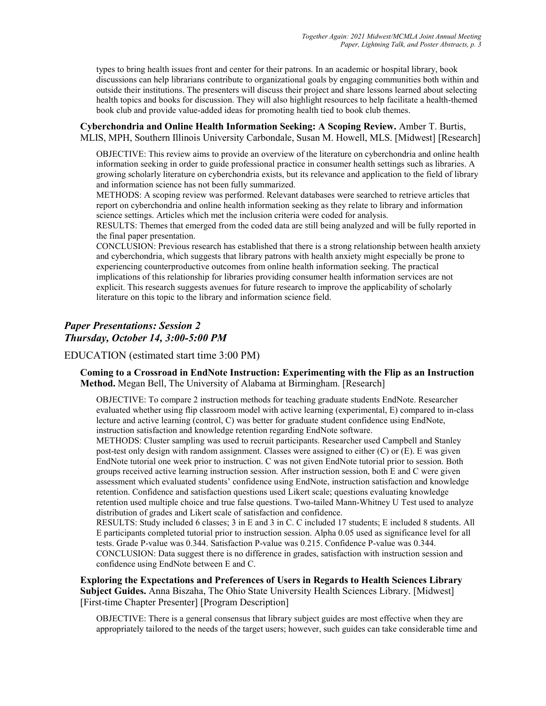types to bring health issues front and center for their patrons. In an academic or hospital library, book discussions can help librarians contribute to organizational goals by engaging communities both within and outside their institutions. The presenters will discuss their project and share lessons learned about selecting health topics and books for discussion. They will also highlight resources to help facilitate a health-themed book club and provide value-added ideas for promoting health tied to book club themes.

Cyberchondria and Online Health Information Seeking: A Scoping Review. Amber T. Burtis, MLIS, MPH, Southern Illinois University Carbondale, Susan M. Howell, MLS. [Midwest] [Research]

OBJECTIVE: This review aims to provide an overview of the literature on cyberchondria and online health information seeking in order to guide professional practice in consumer health settings such as libraries. A growing scholarly literature on cyberchondria exists, but its relevance and application to the field of library and information science has not been fully summarized.

METHODS: A scoping review was performed. Relevant databases were searched to retrieve articles that report on cyberchondria and online health information seeking as they relate to library and information science settings. Articles which met the inclusion criteria were coded for analysis.

RESULTS: Themes that emerged from the coded data are still being analyzed and will be fully reported in the final paper presentation.

CONCLUSION: Previous research has established that there is a strong relationship between health anxiety and cyberchondria, which suggests that library patrons with health anxiety might especially be prone to experiencing counterproductive outcomes from online health information seeking. The practical implications of this relationship for libraries providing consumer health information services are not explicit. This research suggests avenues for future research to improve the applicability of scholarly literature on this topic to the library and information science field.

# Paper Presentations: Session 2 Thursday, October 14, 3:00-5:00 PM

EDUCATION (estimated start time 3:00 PM)

Coming to a Crossroad in EndNote Instruction: Experimenting with the Flip as an Instruction Method. Megan Bell, The University of Alabama at Birmingham. [Research]

OBJECTIVE: To compare 2 instruction methods for teaching graduate students EndNote. Researcher evaluated whether using flip classroom model with active learning (experimental, E) compared to in-class lecture and active learning (control, C) was better for graduate student confidence using EndNote, instruction satisfaction and knowledge retention regarding EndNote software.

METHODS: Cluster sampling was used to recruit participants. Researcher used Campbell and Stanley post-test only design with random assignment. Classes were assigned to either (C) or (E). E was given EndNote tutorial one week prior to instruction. C was not given EndNote tutorial prior to session. Both groups received active learning instruction session. After instruction session, both E and C were given assessment which evaluated students' confidence using EndNote, instruction satisfaction and knowledge retention. Confidence and satisfaction questions used Likert scale; questions evaluating knowledge retention used multiple choice and true false questions. Two-tailed Mann-Whitney U Test used to analyze distribution of grades and Likert scale of satisfaction and confidence.

RESULTS: Study included 6 classes; 3 in E and 3 in C. C included 17 students; E included 8 students. All E participants completed tutorial prior to instruction session. Alpha 0.05 used as significance level for all tests. Grade P-value was 0.344. Satisfaction P-value was 0.215. Confidence P-value was 0.344. CONCLUSION: Data suggest there is no difference in grades, satisfaction with instruction session and confidence using EndNote between E and C.

Exploring the Expectations and Preferences of Users in Regards to Health Sciences Library Subject Guides. Anna Biszaha, The Ohio State University Health Sciences Library. [Midwest] [First-time Chapter Presenter] [Program Description]

OBJECTIVE: There is a general consensus that library subject guides are most effective when they are appropriately tailored to the needs of the target users; however, such guides can take considerable time and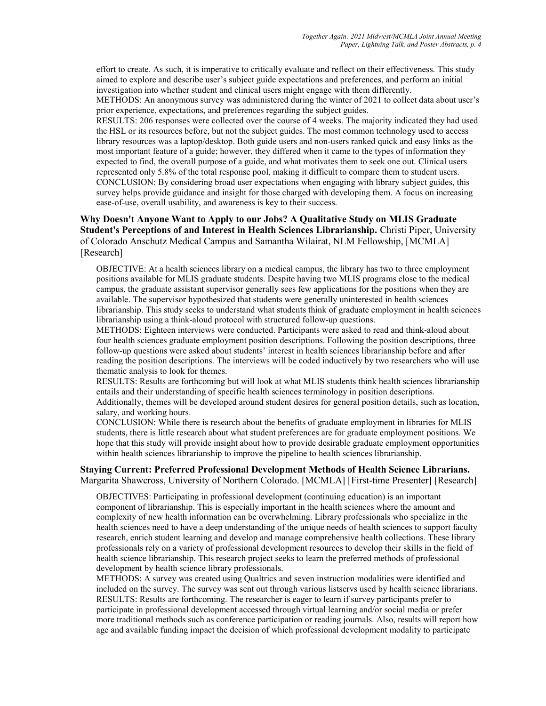effort to create. As such, it is imperative to critically evaluate and reflect on their effectiveness. This study aimed to explore and describe user's subject guide expectations and preferences, and perform an initial investigation into whether student and clinical users might engage with them differently. METHODS: An anonymous survey was administered during the winter of 2021 to collect data about user's

prior experience, expectations, and preferences regarding the subject guides.

RESULTS: 206 responses were collected over the course of 4 weeks. The majority indicated they had used the HSL or its resources before, but not the subject guides. The most common technology used to access library resources was a laptop/desktop. Both guide users and non-users ranked quick and easy links as the most important feature of a guide; however, they differed when it came to the types of information they expected to find, the overall purpose of a guide, and what motivates them to seek one out. Clinical users represented only 5.8% of the total response pool, making it difficult to compare them to student users. CONCLUSION: By considering broad user expectations when engaging with library subject guides, this survey helps provide guidance and insight for those charged with developing them. A focus on increasing ease-of-use, overall usability, and awareness is key to their success.

Why Doesn't Anyone Want to Apply to our Jobs? A Qualitative Study on MLIS Graduate Student's Perceptions of and Interest in Health Sciences Librarianship. Christi Piper, University of Colorado Anschutz Medical Campus and Samantha Wilairat, NLM Fellowship, [MCMLA] [Research]

OBJECTIVE: At a health sciences library on a medical campus, the library has two to three employment positions available for MLIS graduate students. Despite having two MLIS programs close to the medical campus, the graduate assistant supervisor generally sees few applications for the positions when they are available. The supervisor hypothesized that students were generally uninterested in health sciences librarianship. This study seeks to understand what students think of graduate employment in health sciences librarianship using a think-aloud protocol with structured follow-up questions.

METHODS: Eighteen interviews were conducted. Participants were asked to read and think-aloud about four health sciences graduate employment position descriptions. Following the position descriptions, three follow-up questions were asked about students' interest in health sciences librarianship before and after reading the position descriptions. The interviews will be coded inductively by two researchers who will use thematic analysis to look for themes.

RESULTS: Results are forthcoming but will look at what MLIS students think health sciences librarianship entails and their understanding of specific health sciences terminology in position descriptions.

Additionally, themes will be developed around student desires for general position details, such as location, salary, and working hours.

CONCLUSION: While there is research about the benefits of graduate employment in libraries for MLIS students, there is little research about what student preferences are for graduate employment positions. We hope that this study will provide insight about how to provide desirable graduate employment opportunities within health sciences librarianship to improve the pipeline to health sciences librarianship.

### Staying Current: Preferred Professional Development Methods of Health Science Librarians. Margarita Shawcross, University of Northern Colorado. [MCMLA] [First-time Presenter] [Research]

OBJECTIVES: Participating in professional development (continuing education) is an important component of librarianship. This is especially important in the health sciences where the amount and complexity of new health information can be overwhelming. Library professionals who specialize in the health sciences need to have a deep understanding of the unique needs of health sciences to support faculty research, enrich student learning and develop and manage comprehensive health collections. These library professionals rely on a variety of professional development resources to develop their skills in the field of health science librarianship. This research project seeks to learn the preferred methods of professional development by health science library professionals.

METHODS: A survey was created using Qualtrics and seven instruction modalities were identified and included on the survey. The survey was sent out through various listservs used by health science librarians. RESULTS: Results are forthcoming. The researcher is eager to learn if survey participants prefer to participate in professional development accessed through virtual learning and/or social media or prefer more traditional methods such as conference participation or reading journals. Also, results will report how age and available funding impact the decision of which professional development modality to participate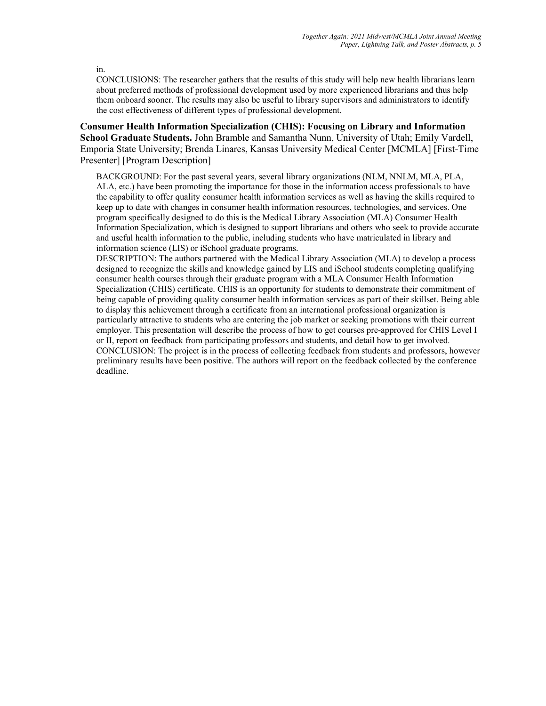in.

CONCLUSIONS: The researcher gathers that the results of this study will help new health librarians learn about preferred methods of professional development used by more experienced librarians and thus help them onboard sooner. The results may also be useful to library supervisors and administrators to identify the cost effectiveness of different types of professional development.

Consumer Health Information Specialization (CHIS): Focusing on Library and Information School Graduate Students. John Bramble and Samantha Nunn, University of Utah; Emily Vardell, Emporia State University; Brenda Linares, Kansas University Medical Center [MCMLA] [First-Time Presenter] [Program Description]

BACKGROUND: For the past several years, several library organizations (NLM, NNLM, MLA, PLA, ALA, etc.) have been promoting the importance for those in the information access professionals to have the capability to offer quality consumer health information services as well as having the skills required to keep up to date with changes in consumer health information resources, technologies, and services. One program specifically designed to do this is the Medical Library Association (MLA) Consumer Health Information Specialization, which is designed to support librarians and others who seek to provide accurate and useful health information to the public, including students who have matriculated in library and information science (LIS) or iSchool graduate programs.

DESCRIPTION: The authors partnered with the Medical Library Association (MLA) to develop a process designed to recognize the skills and knowledge gained by LIS and iSchool students completing qualifying consumer health courses through their graduate program with a MLA Consumer Health Information Specialization (CHIS) certificate. CHIS is an opportunity for students to demonstrate their commitment of being capable of providing quality consumer health information services as part of their skillset. Being able to display this achievement through a certificate from an international professional organization is particularly attractive to students who are entering the job market or seeking promotions with their current employer. This presentation will describe the process of how to get courses pre-approved for CHIS Level I or II, report on feedback from participating professors and students, and detail how to get involved. CONCLUSION: The project is in the process of collecting feedback from students and professors, however preliminary results have been positive. The authors will report on the feedback collected by the conference deadline.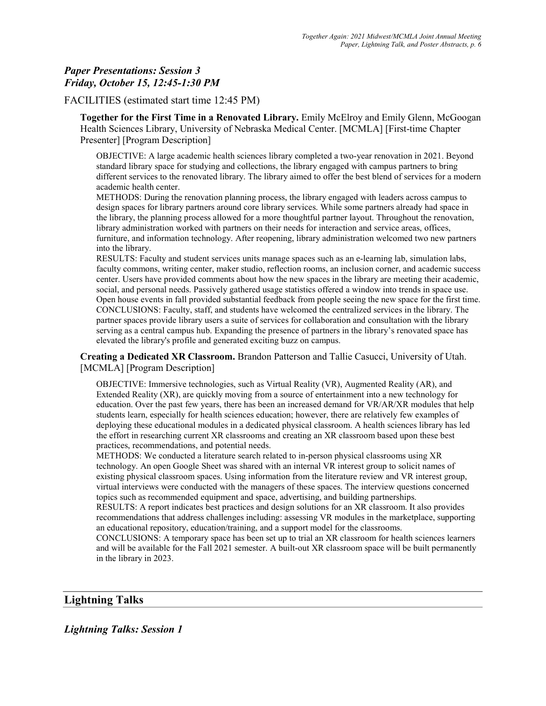# Paper Presentations: Session 3 Friday, October 15, 12:45-1:30 PM

### FACILITIES (estimated start time 12:45 PM)

Together for the First Time in a Renovated Library. Emily McElroy and Emily Glenn, McGoogan Health Sciences Library, University of Nebraska Medical Center. [MCMLA] [First-time Chapter Presenter] [Program Description]

OBJECTIVE: A large academic health sciences library completed a two-year renovation in 2021. Beyond standard library space for studying and collections, the library engaged with campus partners to bring different services to the renovated library. The library aimed to offer the best blend of services for a modern academic health center.

METHODS: During the renovation planning process, the library engaged with leaders across campus to design spaces for library partners around core library services. While some partners already had space in the library, the planning process allowed for a more thoughtful partner layout. Throughout the renovation, library administration worked with partners on their needs for interaction and service areas, offices, furniture, and information technology. After reopening, library administration welcomed two new partners into the library.

RESULTS: Faculty and student services units manage spaces such as an e-learning lab, simulation labs, faculty commons, writing center, maker studio, reflection rooms, an inclusion corner, and academic success center. Users have provided comments about how the new spaces in the library are meeting their academic, social, and personal needs. Passively gathered usage statistics offered a window into trends in space use. Open house events in fall provided substantial feedback from people seeing the new space for the first time. CONCLUSIONS: Faculty, staff, and students have welcomed the centralized services in the library. The partner spaces provide library users a suite of services for collaboration and consultation with the library serving as a central campus hub. Expanding the presence of partners in the library's renovated space has elevated the library's profile and generated exciting buzz on campus.

Creating a Dedicated XR Classroom. Brandon Patterson and Tallie Casucci, University of Utah. [MCMLA] [Program Description]

OBJECTIVE: Immersive technologies, such as Virtual Reality (VR), Augmented Reality (AR), and Extended Reality (XR), are quickly moving from a source of entertainment into a new technology for education. Over the past few years, there has been an increased demand for VR/AR/XR modules that help students learn, especially for health sciences education; however, there are relatively few examples of deploying these educational modules in a dedicated physical classroom. A health sciences library has led the effort in researching current XR classrooms and creating an XR classroom based upon these best practices, recommendations, and potential needs.

METHODS: We conducted a literature search related to in-person physical classrooms using XR technology. An open Google Sheet was shared with an internal VR interest group to solicit names of existing physical classroom spaces. Using information from the literature review and VR interest group, virtual interviews were conducted with the managers of these spaces. The interview questions concerned topics such as recommended equipment and space, advertising, and building partnerships.

RESULTS: A report indicates best practices and design solutions for an XR classroom. It also provides recommendations that address challenges including: assessing VR modules in the marketplace, supporting an educational repository, education/training, and a support model for the classrooms.

CONCLUSIONS: A temporary space has been set up to trial an XR classroom for health sciences learners and will be available for the Fall 2021 semester. A built-out XR classroom space will be built permanently in the library in 2023.

# Lightning Talks

Lightning Talks: Session 1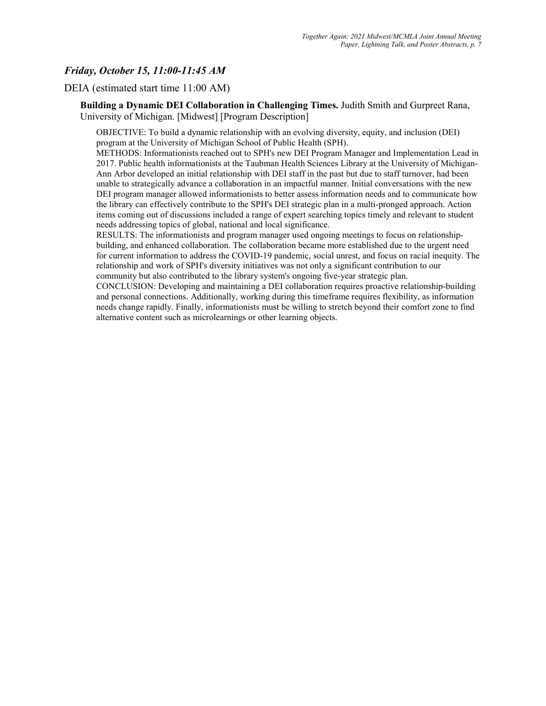# Friday, October 15, 11:00-11:45 AM

DEIA (estimated start time 11:00 AM)

Building a Dynamic DEI Collaboration in Challenging Times. Judith Smith and Gurpreet Rana, University of Michigan. [Midwest] [Program Description]

OBJECTIVE: To build a dynamic relationship with an evolving diversity, equity, and inclusion (DEI) program at the University of Michigan School of Public Health (SPH).

METHODS: Informationists reached out to SPH's new DEI Program Manager and Implementation Lead in 2017. Public health informationists at the Taubman Health Sciences Library at the University of Michigan-Ann Arbor developed an initial relationship with DEI staff in the past but due to staff turnover, had been unable to strategically advance a collaboration in an impactful manner. Initial conversations with the new DEI program manager allowed informationists to better assess information needs and to communicate how the library can effectively contribute to the SPH's DEI strategic plan in a multi-pronged approach. Action items coming out of discussions included a range of expert searching topics timely and relevant to student needs addressing topics of global, national and local significance.

RESULTS: The informationists and program manager used ongoing meetings to focus on relationshipbuilding, and enhanced collaboration. The collaboration became more established due to the urgent need for current information to address the COVID-19 pandemic, social unrest, and focus on racial inequity. The relationship and work of SPH's diversity initiatives was not only a significant contribution to our community but also contributed to the library system's ongoing five-year strategic plan.

CONCLUSION: Developing and maintaining a DEI collaboration requires proactive relationship-building and personal connections. Additionally, working during this timeframe requires flexibility, as information needs change rapidly. Finally, informationists must be willing to stretch beyond their comfort zone to find alternative content such as microlearnings or other learning objects.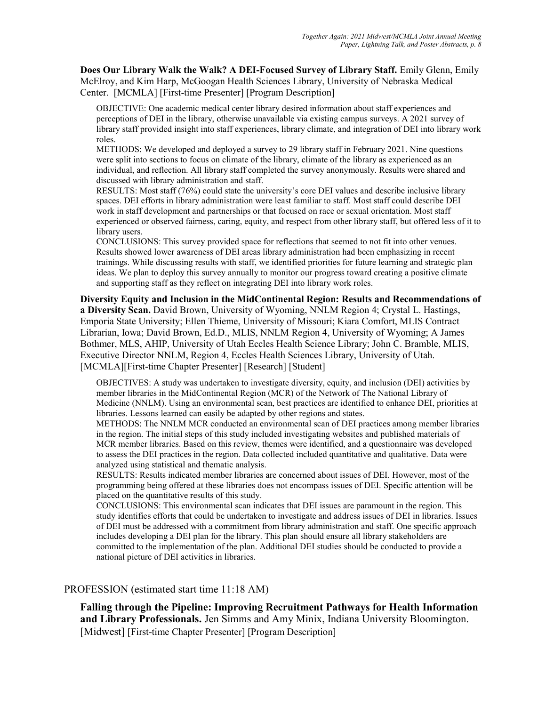Does Our Library Walk the Walk? A DEI-Focused Survey of Library Staff. Emily Glenn, Emily McElroy, and Kim Harp, McGoogan Health Sciences Library, University of Nebraska Medical Center. [MCMLA] [First-time Presenter] [Program Description]

OBJECTIVE: One academic medical center library desired information about staff experiences and perceptions of DEI in the library, otherwise unavailable via existing campus surveys. A 2021 survey of library staff provided insight into staff experiences, library climate, and integration of DEI into library work roles.

METHODS: We developed and deployed a survey to 29 library staff in February 2021. Nine questions were split into sections to focus on climate of the library, climate of the library as experienced as an individual, and reflection. All library staff completed the survey anonymously. Results were shared and discussed with library administration and staff.

RESULTS: Most staff (76%) could state the university's core DEI values and describe inclusive library spaces. DEI efforts in library administration were least familiar to staff. Most staff could describe DEI work in staff development and partnerships or that focused on race or sexual orientation. Most staff experienced or observed fairness, caring, equity, and respect from other library staff, but offered less of it to library users.

CONCLUSIONS: This survey provided space for reflections that seemed to not fit into other venues. Results showed lower awareness of DEI areas library administration had been emphasizing in recent trainings. While discussing results with staff, we identified priorities for future learning and strategic plan ideas. We plan to deploy this survey annually to monitor our progress toward creating a positive climate and supporting staff as they reflect on integrating DEI into library work roles.

Diversity Equity and Inclusion in the MidContinental Region: Results and Recommendations of a Diversity Scan. David Brown, University of Wyoming, NNLM Region 4; Crystal L. Hastings, Emporia State University; Ellen Thieme, University of Missouri; Kiara Comfort, MLIS Contract Librarian, Iowa; David Brown, Ed.D., MLIS, NNLM Region 4, University of Wyoming; A James Bothmer, MLS, AHIP, University of Utah Eccles Health Science Library; John C. Bramble, MLIS, Executive Director NNLM, Region 4, Eccles Health Sciences Library, University of Utah. [MCMLA][First-time Chapter Presenter] [Research] [Student]

OBJECTIVES: A study was undertaken to investigate diversity, equity, and inclusion (DEI) activities by member libraries in the MidContinental Region (MCR) of the Network of The National Library of Medicine (NNLM). Using an environmental scan, best practices are identified to enhance DEI, priorities at libraries. Lessons learned can easily be adapted by other regions and states.

METHODS: The NNLM MCR conducted an environmental scan of DEI practices among member libraries in the region. The initial steps of this study included investigating websites and published materials of MCR member libraries. Based on this review, themes were identified, and a questionnaire was developed to assess the DEI practices in the region. Data collected included quantitative and qualitative. Data were analyzed using statistical and thematic analysis.

RESULTS: Results indicated member libraries are concerned about issues of DEI. However, most of the programming being offered at these libraries does not encompass issues of DEI. Specific attention will be placed on the quantitative results of this study.

CONCLUSIONS: This environmental scan indicates that DEI issues are paramount in the region. This study identifies efforts that could be undertaken to investigate and address issues of DEI in libraries. Issues of DEI must be addressed with a commitment from library administration and staff. One specific approach includes developing a DEI plan for the library. This plan should ensure all library stakeholders are committed to the implementation of the plan. Additional DEI studies should be conducted to provide a national picture of DEI activities in libraries.

# PROFESSION (estimated start time 11:18 AM)

Falling through the Pipeline: Improving Recruitment Pathways for Health Information and Library Professionals. Jen Simms and Amy Minix, Indiana University Bloomington. [Midwest] [First-time Chapter Presenter] [Program Description]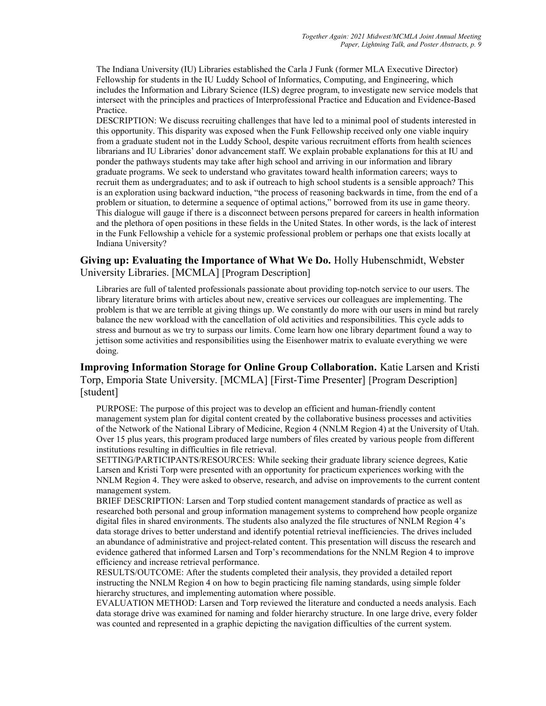The Indiana University (IU) Libraries established the Carla J Funk (former MLA Executive Director) Fellowship for students in the IU Luddy School of Informatics, Computing, and Engineering, which includes the Information and Library Science (ILS) degree program, to investigate new service models that intersect with the principles and practices of Interprofessional Practice and Education and Evidence-Based Practice.

DESCRIPTION: We discuss recruiting challenges that have led to a minimal pool of students interested in this opportunity. This disparity was exposed when the Funk Fellowship received only one viable inquiry from a graduate student not in the Luddy School, despite various recruitment efforts from health sciences librarians and IU Libraries' donor advancement staff. We explain probable explanations for this at IU and ponder the pathways students may take after high school and arriving in our information and library graduate programs. We seek to understand who gravitates toward health information careers; ways to recruit them as undergraduates; and to ask if outreach to high school students is a sensible approach? This is an exploration using backward induction, "the process of reasoning backwards in time, from the end of a problem or situation, to determine a sequence of optimal actions," borrowed from its use in game theory. This dialogue will gauge if there is a disconnect between persons prepared for careers in health information and the plethora of open positions in these fields in the United States. In other words, is the lack of interest in the Funk Fellowship a vehicle for a systemic professional problem or perhaps one that exists locally at Indiana University?

# Giving up: Evaluating the Importance of What We Do. Holly Hubenschmidt, Webster University Libraries. [MCMLA] [Program Description]

Libraries are full of talented professionals passionate about providing top-notch service to our users. The library literature brims with articles about new, creative services our colleagues are implementing. The problem is that we are terrible at giving things up. We constantly do more with our users in mind but rarely balance the new workload with the cancellation of old activities and responsibilities. This cycle adds to stress and burnout as we try to surpass our limits. Come learn how one library department found a way to jettison some activities and responsibilities using the Eisenhower matrix to evaluate everything we were doing.

# Improving Information Storage for Online Group Collaboration. Katie Larsen and Kristi Torp, Emporia State University. [MCMLA] [First-Time Presenter] [Program Description] [student]

PURPOSE: The purpose of this project was to develop an efficient and human-friendly content management system plan for digital content created by the collaborative business processes and activities of the Network of the National Library of Medicine, Region 4 (NNLM Region 4) at the University of Utah. Over 15 plus years, this program produced large numbers of files created by various people from different institutions resulting in difficulties in file retrieval.

SETTING/PARTICIPANTS/RESOURCES: While seeking their graduate library science degrees, Katie Larsen and Kristi Torp were presented with an opportunity for practicum experiences working with the NNLM Region 4. They were asked to observe, research, and advise on improvements to the current content management system.

BRIEF DESCRIPTION: Larsen and Torp studied content management standards of practice as well as researched both personal and group information management systems to comprehend how people organize digital files in shared environments. The students also analyzed the file structures of NNLM Region 4's data storage drives to better understand and identify potential retrieval inefficiencies. The drives included an abundance of administrative and project-related content. This presentation will discuss the research and evidence gathered that informed Larsen and Torp's recommendations for the NNLM Region 4 to improve efficiency and increase retrieval performance.

RESULTS/OUTCOME: After the students completed their analysis, they provided a detailed report instructing the NNLM Region 4 on how to begin practicing file naming standards, using simple folder hierarchy structures, and implementing automation where possible.

EVALUATION METHOD: Larsen and Torp reviewed the literature and conducted a needs analysis. Each data storage drive was examined for naming and folder hierarchy structure. In one large drive, every folder was counted and represented in a graphic depicting the navigation difficulties of the current system.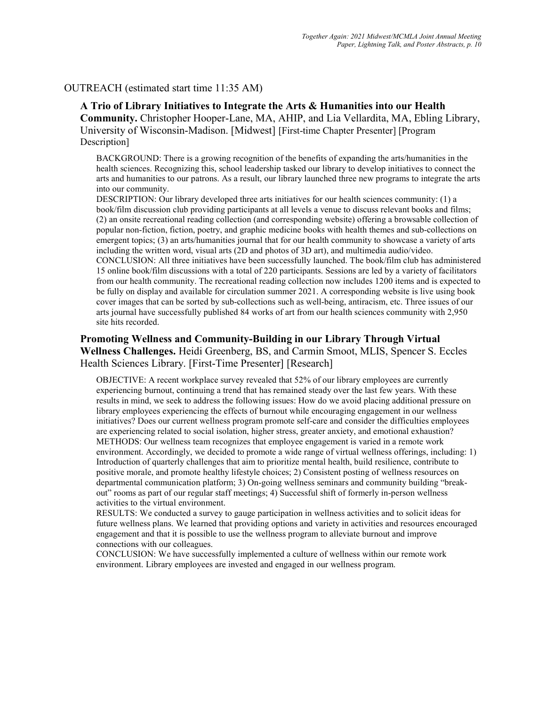### OUTREACH (estimated start time 11:35 AM)

A Trio of Library Initiatives to Integrate the Arts & Humanities into our Health Community. Christopher Hooper-Lane, MA, AHIP, and Lia Vellardita, MA, Ebling Library,

University of Wisconsin-Madison. [Midwest] [First-time Chapter Presenter] [Program Description]

BACKGROUND: There is a growing recognition of the benefits of expanding the arts/humanities in the health sciences. Recognizing this, school leadership tasked our library to develop initiatives to connect the arts and humanities to our patrons. As a result, our library launched three new programs to integrate the arts into our community.

DESCRIPTION: Our library developed three arts initiatives for our health sciences community: (1) a book/film discussion club providing participants at all levels a venue to discuss relevant books and films; (2) an onsite recreational reading collection (and corresponding website) offering a browsable collection of popular non-fiction, fiction, poetry, and graphic medicine books with health themes and sub-collections on emergent topics; (3) an arts/humanities journal that for our health community to showcase a variety of arts including the written word, visual arts (2D and photos of 3D art), and multimedia audio/video. CONCLUSION: All three initiatives have been successfully launched. The book/film club has administered 15 online book/film discussions with a total of 220 participants. Sessions are led by a variety of facilitators from our health community. The recreational reading collection now includes 1200 items and is expected to be fully on display and available for circulation summer 2021. A corresponding website is live using book cover images that can be sorted by sub-collections such as well-being, antiracism, etc. Three issues of our arts journal have successfully published 84 works of art from our health sciences community with 2,950 site hits recorded.

# Promoting Wellness and Community-Building in our Library Through Virtual Wellness Challenges. Heidi Greenberg, BS, and Carmin Smoot, MLIS, Spencer S. Eccles Health Sciences Library. [First-Time Presenter] [Research]

OBJECTIVE: A recent workplace survey revealed that 52% of our library employees are currently experiencing burnout, continuing a trend that has remained steady over the last few years. With these results in mind, we seek to address the following issues: How do we avoid placing additional pressure on library employees experiencing the effects of burnout while encouraging engagement in our wellness initiatives? Does our current wellness program promote self-care and consider the difficulties employees are experiencing related to social isolation, higher stress, greater anxiety, and emotional exhaustion? METHODS: Our wellness team recognizes that employee engagement is varied in a remote work environment. Accordingly, we decided to promote a wide range of virtual wellness offerings, including: 1) Introduction of quarterly challenges that aim to prioritize mental health, build resilience, contribute to positive morale, and promote healthy lifestyle choices; 2) Consistent posting of wellness resources on departmental communication platform; 3) On-going wellness seminars and community building "breakout" rooms as part of our regular staff meetings; 4) Successful shift of formerly in-person wellness activities to the virtual environment.

RESULTS: We conducted a survey to gauge participation in wellness activities and to solicit ideas for future wellness plans. We learned that providing options and variety in activities and resources encouraged engagement and that it is possible to use the wellness program to alleviate burnout and improve connections with our colleagues.

CONCLUSION: We have successfully implemented a culture of wellness within our remote work environment. Library employees are invested and engaged in our wellness program.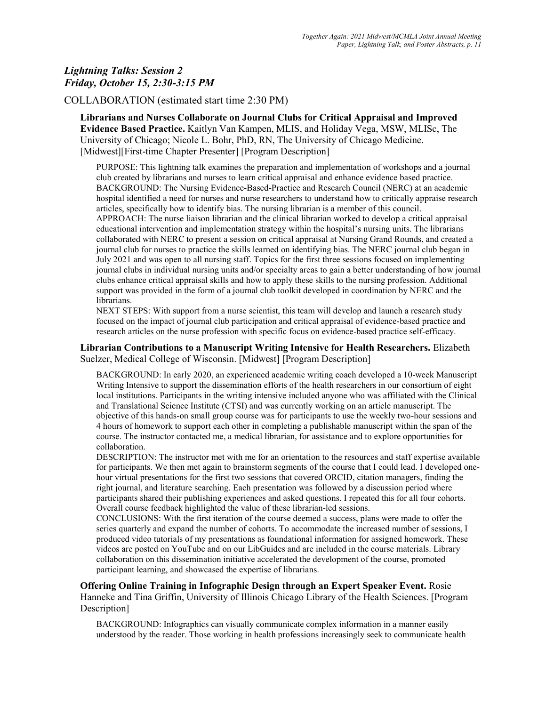# Lightning Talks: Session 2 Friday, October 15, 2:30-3:15 PM

### COLLABORATION (estimated start time 2:30 PM)

Librarians and Nurses Collaborate on Journal Clubs for Critical Appraisal and Improved Evidence Based Practice. Kaitlyn Van Kampen, MLIS, and Holiday Vega, MSW, MLISc, The University of Chicago; Nicole L. Bohr, PhD, RN, The University of Chicago Medicine. [Midwest][First-time Chapter Presenter] [Program Description]

PURPOSE: This lightning talk examines the preparation and implementation of workshops and a journal club created by librarians and nurses to learn critical appraisal and enhance evidence based practice. BACKGROUND: The Nursing Evidence-Based-Practice and Research Council (NERC) at an academic hospital identified a need for nurses and nurse researchers to understand how to critically appraise research articles, specifically how to identify bias. The nursing librarian is a member of this council. APPROACH: The nurse liaison librarian and the clinical librarian worked to develop a critical appraisal educational intervention and implementation strategy within the hospital's nursing units. The librarians collaborated with NERC to present a session on critical appraisal at Nursing Grand Rounds, and created a journal club for nurses to practice the skills learned on identifying bias. The NERC journal club began in July 2021 and was open to all nursing staff. Topics for the first three sessions focused on implementing journal clubs in individual nursing units and/or specialty areas to gain a better understanding of how journal clubs enhance critical appraisal skills and how to apply these skills to the nursing profession. Additional support was provided in the form of a journal club toolkit developed in coordination by NERC and the librarians.

NEXT STEPS: With support from a nurse scientist, this team will develop and launch a research study focused on the impact of journal club participation and critical appraisal of evidence-based practice and research articles on the nurse profession with specific focus on evidence-based practice self-efficacy.

#### Librarian Contributions to a Manuscript Writing Intensive for Health Researchers. Elizabeth Suelzer, Medical College of Wisconsin. [Midwest] [Program Description]

BACKGROUND: In early 2020, an experienced academic writing coach developed a 10-week Manuscript Writing Intensive to support the dissemination efforts of the health researchers in our consortium of eight local institutions. Participants in the writing intensive included anyone who was affiliated with the Clinical and Translational Science Institute (CTSI) and was currently working on an article manuscript. The objective of this hands-on small group course was for participants to use the weekly two-hour sessions and 4 hours of homework to support each other in completing a publishable manuscript within the span of the course. The instructor contacted me, a medical librarian, for assistance and to explore opportunities for collaboration.

DESCRIPTION: The instructor met with me for an orientation to the resources and staff expertise available for participants. We then met again to brainstorm segments of the course that I could lead. I developed onehour virtual presentations for the first two sessions that covered ORCID, citation managers, finding the right journal, and literature searching. Each presentation was followed by a discussion period where participants shared their publishing experiences and asked questions. I repeated this for all four cohorts. Overall course feedback highlighted the value of these librarian-led sessions.

CONCLUSIONS: With the first iteration of the course deemed a success, plans were made to offer the series quarterly and expand the number of cohorts. To accommodate the increased number of sessions, I produced video tutorials of my presentations as foundational information for assigned homework. These videos are posted on YouTube and on our LibGuides and are included in the course materials. Library collaboration on this dissemination initiative accelerated the development of the course, promoted participant learning, and showcased the expertise of librarians.

Offering Online Training in Infographic Design through an Expert Speaker Event. Rosie Hanneke and Tina Griffin, University of Illinois Chicago Library of the Health Sciences. [Program Description]

BACKGROUND: Infographics can visually communicate complex information in a manner easily understood by the reader. Those working in health professions increasingly seek to communicate health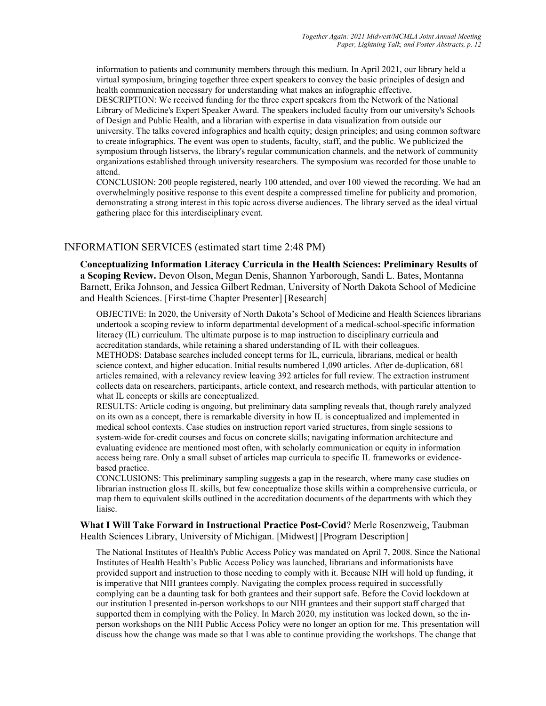information to patients and community members through this medium. In April 2021, our library held a virtual symposium, bringing together three expert speakers to convey the basic principles of design and health communication necessary for understanding what makes an infographic effective.

DESCRIPTION: We received funding for the three expert speakers from the Network of the National Library of Medicine's Expert Speaker Award. The speakers included faculty from our university's Schools of Design and Public Health, and a librarian with expertise in data visualization from outside our university. The talks covered infographics and health equity; design principles; and using common software to create infographics. The event was open to students, faculty, staff, and the public. We publicized the symposium through listservs, the library's regular communication channels, and the network of community organizations established through university researchers. The symposium was recorded for those unable to attend.

CONCLUSION: 200 people registered, nearly 100 attended, and over 100 viewed the recording. We had an overwhelmingly positive response to this event despite a compressed timeline for publicity and promotion, demonstrating a strong interest in this topic across diverse audiences. The library served as the ideal virtual gathering place for this interdisciplinary event.

### INFORMATION SERVICES (estimated start time 2:48 PM)

Conceptualizing Information Literacy Curricula in the Health Sciences: Preliminary Results of a Scoping Review. Devon Olson, Megan Denis, Shannon Yarborough, Sandi L. Bates, Montanna Barnett, Erika Johnson, and Jessica Gilbert Redman, University of North Dakota School of Medicine and Health Sciences. [First-time Chapter Presenter] [Research]

OBJECTIVE: In 2020, the University of North Dakota's School of Medicine and Health Sciences librarians undertook a scoping review to inform departmental development of a medical-school-specific information literacy (IL) curriculum. The ultimate purpose is to map instruction to disciplinary curricula and accreditation standards, while retaining a shared understanding of IL with their colleagues.

METHODS: Database searches included concept terms for IL, curricula, librarians, medical or health science context, and higher education. Initial results numbered 1,090 articles. After de-duplication, 681 articles remained, with a relevancy review leaving 392 articles for full review. The extraction instrument collects data on researchers, participants, article context, and research methods, with particular attention to what IL concepts or skills are conceptualized.

RESULTS: Article coding is ongoing, but preliminary data sampling reveals that, though rarely analyzed on its own as a concept, there is remarkable diversity in how IL is conceptualized and implemented in medical school contexts. Case studies on instruction report varied structures, from single sessions to system-wide for-credit courses and focus on concrete skills; navigating information architecture and evaluating evidence are mentioned most often, with scholarly communication or equity in information access being rare. Only a small subset of articles map curricula to specific IL frameworks or evidencebased practice.

CONCLUSIONS: This preliminary sampling suggests a gap in the research, where many case studies on librarian instruction gloss IL skills, but few conceptualize those skills within a comprehensive curricula, or map them to equivalent skills outlined in the accreditation documents of the departments with which they liaise.

What I Will Take Forward in Instructional Practice Post-Covid? Merle Rosenzweig, Taubman Health Sciences Library, University of Michigan. [Midwest] [Program Description]

The National Institutes of Health's Public Access Policy was mandated on April 7, 2008. Since the National Institutes of Health Health's Public Access Policy was launched, librarians and informationists have provided support and instruction to those needing to comply with it. Because NIH will hold up funding, it is imperative that NIH grantees comply. Navigating the complex process required in successfully complying can be a daunting task for both grantees and their support safe. Before the Covid lockdown at our institution I presented in-person workshops to our NIH grantees and their support staff charged that supported them in complying with the Policy. In March 2020, my institution was locked down, so the inperson workshops on the NIH Public Access Policy were no longer an option for me. This presentation will discuss how the change was made so that I was able to continue providing the workshops. The change that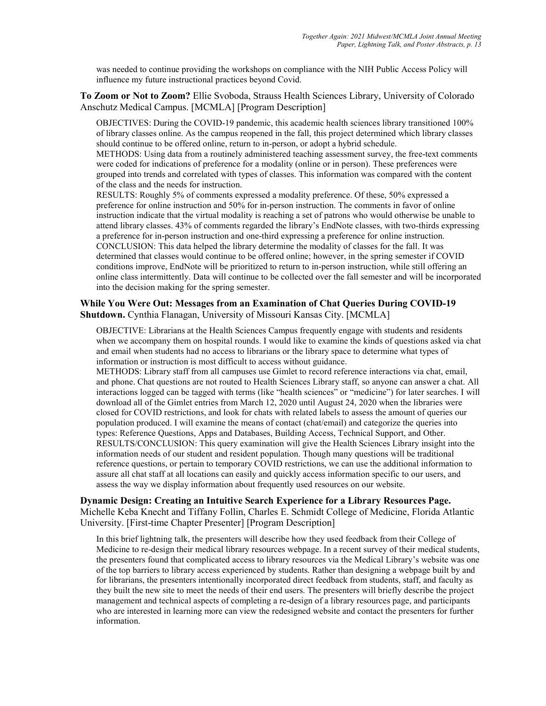was needed to continue providing the workshops on compliance with the NIH Public Access Policy will influence my future instructional practices beyond Covid.

To Zoom or Not to Zoom? Ellie Svoboda, Strauss Health Sciences Library, University of Colorado Anschutz Medical Campus. [MCMLA] [Program Description]

OBJECTIVES: During the COVID-19 pandemic, this academic health sciences library transitioned 100% of library classes online. As the campus reopened in the fall, this project determined which library classes should continue to be offered online, return to in-person, or adopt a hybrid schedule.

METHODS: Using data from a routinely administered teaching assessment survey, the free-text comments were coded for indications of preference for a modality (online or in person). These preferences were grouped into trends and correlated with types of classes. This information was compared with the content of the class and the needs for instruction.

RESULTS: Roughly 5% of comments expressed a modality preference. Of these, 50% expressed a preference for online instruction and 50% for in-person instruction. The comments in favor of online instruction indicate that the virtual modality is reaching a set of patrons who would otherwise be unable to attend library classes. 43% of comments regarded the library's EndNote classes, with two-thirds expressing a preference for in-person instruction and one-third expressing a preference for online instruction. CONCLUSION: This data helped the library determine the modality of classes for the fall. It was determined that classes would continue to be offered online; however, in the spring semester if COVID conditions improve, EndNote will be prioritized to return to in-person instruction, while still offering an online class intermittently. Data will continue to be collected over the fall semester and will be incorporated into the decision making for the spring semester.

### While You Were Out: Messages from an Examination of Chat Queries During COVID-19 Shutdown. Cynthia Flanagan, University of Missouri Kansas City. [MCMLA]

OBJECTIVE: Librarians at the Health Sciences Campus frequently engage with students and residents when we accompany them on hospital rounds. I would like to examine the kinds of questions asked via chat and email when students had no access to librarians or the library space to determine what types of information or instruction is most difficult to access without guidance.

METHODS: Library staff from all campuses use Gimlet to record reference interactions via chat, email, and phone. Chat questions are not routed to Health Sciences Library staff, so anyone can answer a chat. All interactions logged can be tagged with terms (like "health sciences" or "medicine") for later searches. I will download all of the Gimlet entries from March 12, 2020 until August 24, 2020 when the libraries were closed for COVID restrictions, and look for chats with related labels to assess the amount of queries our population produced. I will examine the means of contact (chat/email) and categorize the queries into types: Reference Questions, Apps and Databases, Building Access, Technical Support, and Other. RESULTS/CONCLUSION: This query examination will give the Health Sciences Library insight into the information needs of our student and resident population. Though many questions will be traditional reference questions, or pertain to temporary COVID restrictions, we can use the additional information to assure all chat staff at all locations can easily and quickly access information specific to our users, and assess the way we display information about frequently used resources on our website.

### Dynamic Design: Creating an Intuitive Search Experience for a Library Resources Page. Michelle Keba Knecht and Tiffany Follin, Charles E. Schmidt College of Medicine, Florida Atlantic University. [First-time Chapter Presenter] [Program Description]

In this brief lightning talk, the presenters will describe how they used feedback from their College of Medicine to re-design their medical library resources webpage. In a recent survey of their medical students, the presenters found that complicated access to library resources via the Medical Library's website was one of the top barriers to library access experienced by students. Rather than designing a webpage built by and for librarians, the presenters intentionally incorporated direct feedback from students, staff, and faculty as they built the new site to meet the needs of their end users. The presenters will briefly describe the project management and technical aspects of completing a re-design of a library resources page, and participants who are interested in learning more can view the redesigned website and contact the presenters for further information.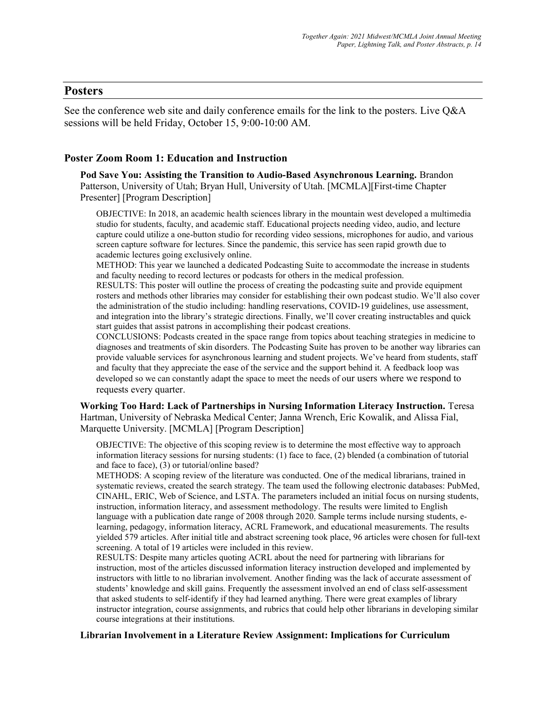### Posters

See the conference web site and daily conference emails for the link to the posters. Live Q&A sessions will be held Friday, October 15, 9:00-10:00 AM.

### Poster Zoom Room 1: Education and Instruction

Pod Save You: Assisting the Transition to Audio-Based Asynchronous Learning. Brandon Patterson, University of Utah; Bryan Hull, University of Utah. [MCMLA][First-time Chapter Presenter] [Program Description]

OBJECTIVE: In 2018, an academic health sciences library in the mountain west developed a multimedia studio for students, faculty, and academic staff. Educational projects needing video, audio, and lecture capture could utilize a one-button studio for recording video sessions, microphones for audio, and various screen capture software for lectures. Since the pandemic, this service has seen rapid growth due to academic lectures going exclusively online.

METHOD: This year we launched a dedicated Podcasting Suite to accommodate the increase in students and faculty needing to record lectures or podcasts for others in the medical profession.

RESULTS: This poster will outline the process of creating the podcasting suite and provide equipment rosters and methods other libraries may consider for establishing their own podcast studio. We'll also cover the administration of the studio including: handling reservations, COVID-19 guidelines, use assessment, and integration into the library's strategic directions. Finally, we'll cover creating instructables and quick start guides that assist patrons in accomplishing their podcast creations.

CONCLUSIONS: Podcasts created in the space range from topics about teaching strategies in medicine to diagnoses and treatments of skin disorders. The Podcasting Suite has proven to be another way libraries can provide valuable services for asynchronous learning and student projects. We've heard from students, staff and faculty that they appreciate the ease of the service and the support behind it. A feedback loop was developed so we can constantly adapt the space to meet the needs of our users where we respond to requests every quarter.

Working Too Hard: Lack of Partnerships in Nursing Information Literacy Instruction. Teresa Hartman, University of Nebraska Medical Center; Janna Wrench, Eric Kowalik, and Alissa Fial, Marquette University. [MCMLA] [Program Description]

OBJECTIVE: The objective of this scoping review is to determine the most effective way to approach information literacy sessions for nursing students: (1) face to face, (2) blended (a combination of tutorial and face to face), (3) or tutorial/online based?

METHODS: A scoping review of the literature was conducted. One of the medical librarians, trained in systematic reviews, created the search strategy. The team used the following electronic databases: PubMed, CINAHL, ERIC, Web of Science, and LSTA. The parameters included an initial focus on nursing students, instruction, information literacy, and assessment methodology. The results were limited to English language with a publication date range of 2008 through 2020. Sample terms include nursing students, elearning, pedagogy, information literacy, ACRL Framework, and educational measurements. The results yielded 579 articles. After initial title and abstract screening took place, 96 articles were chosen for full-text screening. A total of 19 articles were included in this review.

RESULTS: Despite many articles quoting ACRL about the need for partnering with librarians for instruction, most of the articles discussed information literacy instruction developed and implemented by instructors with little to no librarian involvement. Another finding was the lack of accurate assessment of students' knowledge and skill gains. Frequently the assessment involved an end of class self-assessment that asked students to self-identify if they had learned anything. There were great examples of library instructor integration, course assignments, and rubrics that could help other librarians in developing similar course integrations at their institutions.

#### Librarian Involvement in a Literature Review Assignment: Implications for Curriculum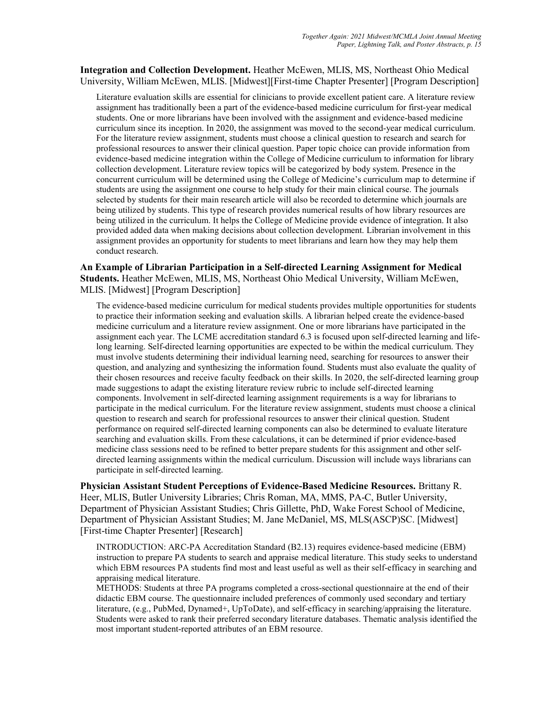### Integration and Collection Development. Heather McEwen, MLIS, MS, Northeast Ohio Medical University, William McEwen, MLIS. [Midwest][First-time Chapter Presenter] [Program Description]

Literature evaluation skills are essential for clinicians to provide excellent patient care. A literature review assignment has traditionally been a part of the evidence-based medicine curriculum for first-year medical students. One or more librarians have been involved with the assignment and evidence-based medicine curriculum since its inception. In 2020, the assignment was moved to the second-year medical curriculum. For the literature review assignment, students must choose a clinical question to research and search for professional resources to answer their clinical question. Paper topic choice can provide information from evidence-based medicine integration within the College of Medicine curriculum to information for library collection development. Literature review topics will be categorized by body system. Presence in the concurrent curriculum will be determined using the College of Medicine's curriculum map to determine if students are using the assignment one course to help study for their main clinical course. The journals selected by students for their main research article will also be recorded to determine which journals are being utilized by students. This type of research provides numerical results of how library resources are being utilized in the curriculum. It helps the College of Medicine provide evidence of integration. It also provided added data when making decisions about collection development. Librarian involvement in this assignment provides an opportunity for students to meet librarians and learn how they may help them conduct research.

An Example of Librarian Participation in a Self-directed Learning Assignment for Medical Students. Heather McEwen, MLIS, MS, Northeast Ohio Medical University, William McEwen, MLIS. [Midwest] [Program Description]

The evidence-based medicine curriculum for medical students provides multiple opportunities for students to practice their information seeking and evaluation skills. A librarian helped create the evidence-based medicine curriculum and a literature review assignment. One or more librarians have participated in the assignment each year. The LCME accreditation standard 6.3 is focused upon self-directed learning and lifelong learning. Self-directed learning opportunities are expected to be within the medical curriculum. They must involve students determining their individual learning need, searching for resources to answer their question, and analyzing and synthesizing the information found. Students must also evaluate the quality of their chosen resources and receive faculty feedback on their skills. In 2020, the self-directed learning group made suggestions to adapt the existing literature review rubric to include self-directed learning components. Involvement in self-directed learning assignment requirements is a way for librarians to participate in the medical curriculum. For the literature review assignment, students must choose a clinical question to research and search for professional resources to answer their clinical question. Student performance on required self-directed learning components can also be determined to evaluate literature searching and evaluation skills. From these calculations, it can be determined if prior evidence-based medicine class sessions need to be refined to better prepare students for this assignment and other selfdirected learning assignments within the medical curriculum. Discussion will include ways librarians can participate in self-directed learning.

Physician Assistant Student Perceptions of Evidence-Based Medicine Resources. Brittany R. Heer, MLIS, Butler University Libraries; Chris Roman, MA, MMS, PA-C, Butler University, Department of Physician Assistant Studies; Chris Gillette, PhD, Wake Forest School of Medicine, Department of Physician Assistant Studies; M. Jane McDaniel, MS, MLS(ASCP)SC. [Midwest] [First-time Chapter Presenter] [Research]

INTRODUCTION: ARC-PA Accreditation Standard (B2.13) requires evidence-based medicine (EBM) instruction to prepare PA students to search and appraise medical literature. This study seeks to understand which EBM resources PA students find most and least useful as well as their self-efficacy in searching and appraising medical literature.

METHODS: Students at three PA programs completed a cross-sectional questionnaire at the end of their didactic EBM course. The questionnaire included preferences of commonly used secondary and tertiary literature, (e.g., PubMed, Dynamed+, UpToDate), and self-efficacy in searching/appraising the literature. Students were asked to rank their preferred secondary literature databases. Thematic analysis identified the most important student-reported attributes of an EBM resource.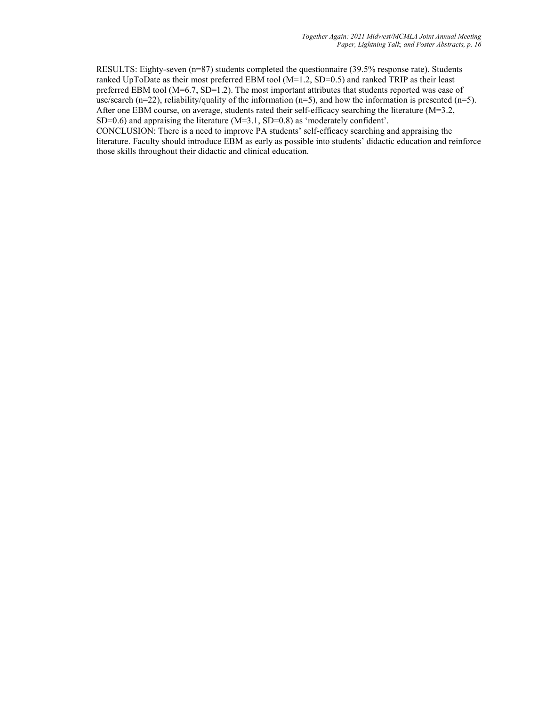RESULTS: Eighty-seven (n=87) students completed the questionnaire (39.5% response rate). Students ranked UpToDate as their most preferred EBM tool (M=1.2, SD=0.5) and ranked TRIP as their least preferred EBM tool (M=6.7, SD=1.2). The most important attributes that students reported was ease of use/search (n=22), reliability/quality of the information (n=5), and how the information is presented (n=5). After one EBM course, on average, students rated their self-efficacy searching the literature (M=3.2, SD=0.6) and appraising the literature  $(M=3.1, SD=0.8)$  as 'moderately confident'.

CONCLUSION: There is a need to improve PA students' self-efficacy searching and appraising the literature. Faculty should introduce EBM as early as possible into students' didactic education and reinforce those skills throughout their didactic and clinical education.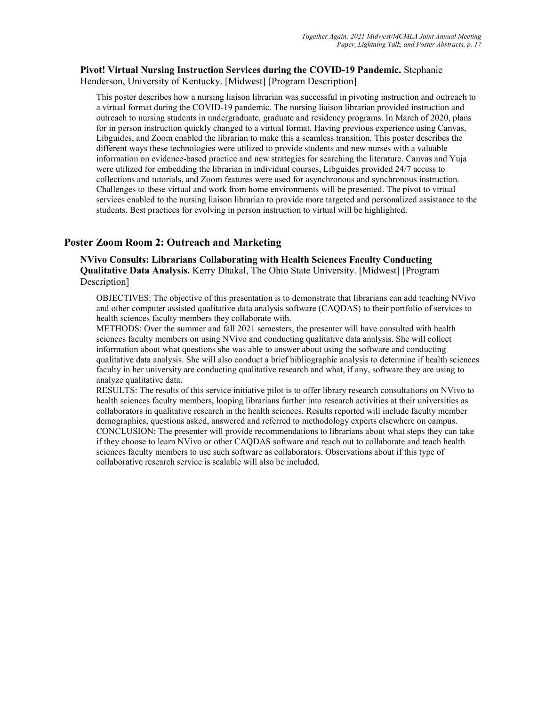### Pivot! Virtual Nursing Instruction Services during the COVID-19 Pandemic. Stephanie Henderson, University of Kentucky. [Midwest] [Program Description]

This poster describes how a nursing liaison librarian was successful in pivoting instruction and outreach to a virtual format during the COVID-19 pandemic. The nursing liaison librarian provided instruction and outreach to nursing students in undergraduate, graduate and residency programs. In March of 2020, plans for in person instruction quickly changed to a virtual format. Having previous experience using Canvas, Libguides, and Zoom enabled the librarian to make this a seamless transition. This poster describes the different ways these technologies were utilized to provide students and new nurses with a valuable information on evidence-based practice and new strategies for searching the literature. Canvas and Yuja were utilized for embedding the librarian in individual courses, Libguides provided 24/7 access to collections and tutorials, and Zoom features were used for asynchronous and synchronous instruction. Challenges to these virtual and work from home environments will be presented. The pivot to virtual services enabled to the nursing liaison librarian to provide more targeted and personalized assistance to the students. Best practices for evolving in person instruction to virtual will be highlighted.

### Poster Zoom Room 2: Outreach and Marketing

NVivo Consults: Librarians Collaborating with Health Sciences Faculty Conducting Qualitative Data Analysis. Kerry Dhakal, The Ohio State University. [Midwest] [Program Description]

OBJECTIVES: The objective of this presentation is to demonstrate that librarians can add teaching NVivo and other computer assisted qualitative data analysis software (CAQDAS) to their portfolio of services to health sciences faculty members they collaborate with.

METHODS: Over the summer and fall 2021 semesters, the presenter will have consulted with health sciences faculty members on using NVivo and conducting qualitative data analysis. She will collect information about what questions she was able to answer about using the software and conducting qualitative data analysis. She will also conduct a brief bibliographic analysis to determine if health sciences faculty in her university are conducting qualitative research and what, if any, software they are using to analyze qualitative data.

RESULTS: The results of this service initiative pilot is to offer library research consultations on NVivo to health sciences faculty members, looping librarians further into research activities at their universities as collaborators in qualitative research in the health sciences. Results reported will include faculty member demographics, questions asked, answered and referred to methodology experts elsewhere on campus. CONCLUSION: The presenter will provide recommendations to librarians about what steps they can take if they choose to learn NVivo or other CAQDAS software and reach out to collaborate and teach health sciences faculty members to use such software as collaborators. Observations about if this type of collaborative research service is scalable will also be included.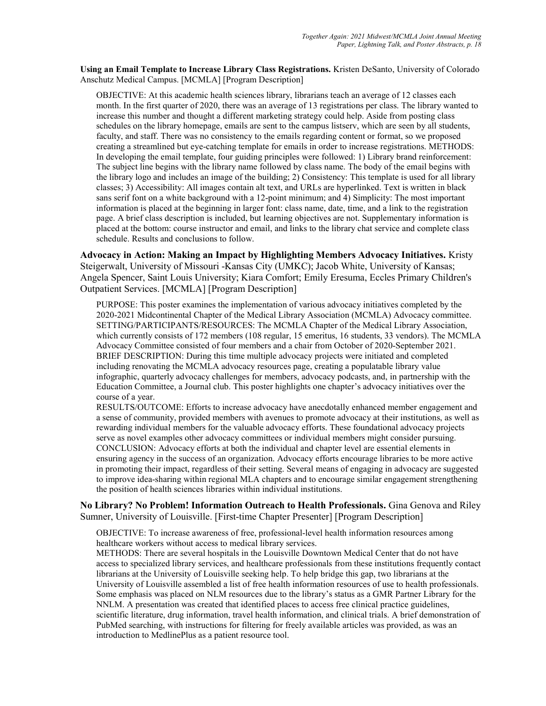Using an Email Template to Increase Library Class Registrations. Kristen DeSanto, University of Colorado Anschutz Medical Campus. [MCMLA] [Program Description]

OBJECTIVE: At this academic health sciences library, librarians teach an average of 12 classes each month. In the first quarter of 2020, there was an average of 13 registrations per class. The library wanted to increase this number and thought a different marketing strategy could help. Aside from posting class schedules on the library homepage, emails are sent to the campus listserv, which are seen by all students, faculty, and staff. There was no consistency to the emails regarding content or format, so we proposed creating a streamlined but eye-catching template for emails in order to increase registrations. METHODS: In developing the email template, four guiding principles were followed: 1) Library brand reinforcement: The subject line begins with the library name followed by class name. The body of the email begins with the library logo and includes an image of the building; 2) Consistency: This template is used for all library classes; 3) Accessibility: All images contain alt text, and URLs are hyperlinked. Text is written in black sans serif font on a white background with a 12-point minimum; and 4) Simplicity: The most important information is placed at the beginning in larger font: class name, date, time, and a link to the registration page. A brief class description is included, but learning objectives are not. Supplementary information is placed at the bottom: course instructor and email, and links to the library chat service and complete class schedule. Results and conclusions to follow.

Advocacy in Action: Making an Impact by Highlighting Members Advocacy Initiatives. Kristy Steigerwalt, University of Missouri -Kansas City (UMKC); Jacob White, University of Kansas; Angela Spencer, Saint Louis University; Kiara Comfort; Emily Eresuma, Eccles Primary Children's Outpatient Services. [MCMLA] [Program Description]

PURPOSE: This poster examines the implementation of various advocacy initiatives completed by the 2020-2021 Midcontinental Chapter of the Medical Library Association (MCMLA) Advocacy committee. SETTING/PARTICIPANTS/RESOURCES: The MCMLA Chapter of the Medical Library Association, which currently consists of 172 members (108 regular, 15 emeritus, 16 students, 33 vendors). The MCMLA Advocacy Committee consisted of four members and a chair from October of 2020-September 2021. BRIEF DESCRIPTION: During this time multiple advocacy projects were initiated and completed including renovating the MCMLA advocacy resources page, creating a populatable library value infographic, quarterly advocacy challenges for members, advocacy podcasts, and, in partnership with the Education Committee, a Journal club. This poster highlights one chapter's advocacy initiatives over the course of a year.

RESULTS/OUTCOME: Efforts to increase advocacy have anecdotally enhanced member engagement and a sense of community, provided members with avenues to promote advocacy at their institutions, as well as rewarding individual members for the valuable advocacy efforts. These foundational advocacy projects serve as novel examples other advocacy committees or individual members might consider pursuing. CONCLUSION: Advocacy efforts at both the individual and chapter level are essential elements in ensuring agency in the success of an organization. Advocacy efforts encourage libraries to be more active in promoting their impact, regardless of their setting. Several means of engaging in advocacy are suggested to improve idea-sharing within regional MLA chapters and to encourage similar engagement strengthening the position of health sciences libraries within individual institutions.

No Library? No Problem! Information Outreach to Health Professionals. Gina Genova and Riley Sumner, University of Louisville. [First-time Chapter Presenter] [Program Description]

OBJECTIVE: To increase awareness of free, professional-level health information resources among healthcare workers without access to medical library services.

METHODS: There are several hospitals in the Louisville Downtown Medical Center that do not have access to specialized library services, and healthcare professionals from these institutions frequently contact librarians at the University of Louisville seeking help. To help bridge this gap, two librarians at the University of Louisville assembled a list of free health information resources of use to health professionals. Some emphasis was placed on NLM resources due to the library's status as a GMR Partner Library for the NNLM. A presentation was created that identified places to access free clinical practice guidelines, scientific literature, drug information, travel health information, and clinical trials. A brief demonstration of PubMed searching, with instructions for filtering for freely available articles was provided, as was an introduction to MedlinePlus as a patient resource tool.